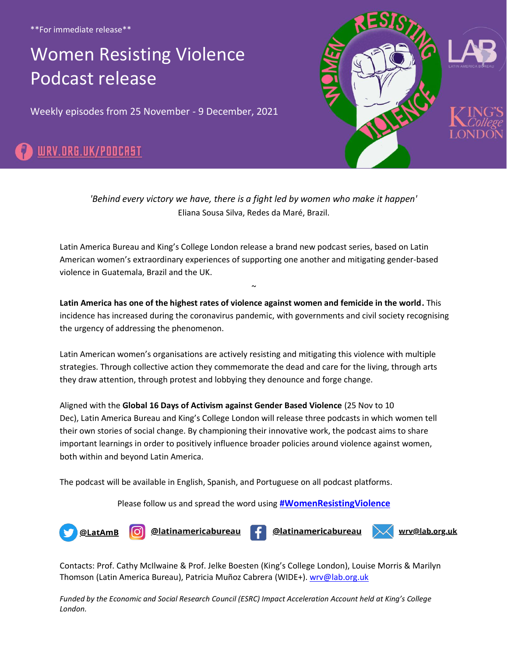\*\*For immediate release\*\*

# [Women Resisting Violence](https://www.lab.org.uk/wrv/podcast)  Podcast release

Weekly episodes from 25 November - 9 December, 2021





*'Behind every victory we have, there is a fight led by women who make it happen'* Eliana Sousa Silva, Redes da Maré, Brazil.

Latin America Bureau and King's College London release a brand new podcast series, based on Latin American women's extraordinary experiences of supporting one another and mitigating gender-based violence in Guatemala, Brazil and the UK.

**Latin America has one of the highest rates of violence against women and femicide in the world.** This incidence has increased during the coronavirus pandemic, with governments and civil society recognising the urgency of addressing the phenomenon.

 $\ddot{\phantom{0}}$ 

Latin American women's organisations are actively resisting and mitigating this violence with multiple strategies. Through collective action they commemorate the dead and care for the living, through arts they draw attention, through protest and lobbying they denounce and forge change.

Aligned with the **Global 16 Days of Activism against Gender Based Violence** (25 Nov to 10 Dec), Latin America Bureau and King's College London will release three podcasts in which women tell their own stories of social change. By championing their innovative work, the podcast aims to share important learnings in order to positively influence broader policies around violence against women, both within and beyond Latin America.

The podcast will be available in English, Spanish, and Portuguese on all podcast platforms.

#### Please follow us and spread the word using **[#WomenResistingViolence](https://ctt.ac/30d4J)**



Contacts: Prof. Cathy McIlwaine & Prof. Jelke Boesten (King's College London), Louise Morris & Marilyn Thomson (Latin America Bureau), Patricia Muñoz Cabrera (WIDE+). [wrv@lab.org.uk](mailto:?subject=Women%20Resisting%20Violence%20podcast%20enquiry)

*Funded by the Economic and Social Research Council (ESRC) Impact Acceleration Account held at King's College London.*